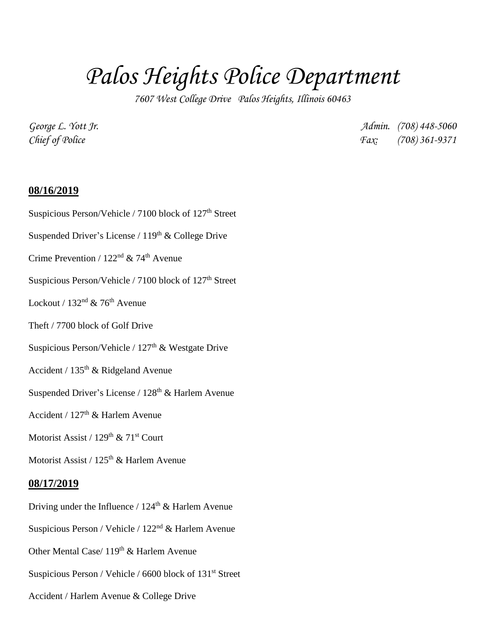## *Palos Heights Police Department*

*7607 West College Drive Palos Heights, Illinois 60463*

*George L. Yott Jr. Admin. (708) 448-5060 Chief of Police Fax: (708) 361-9371*

## **08/16/2019**

- Suspicious Person/Vehicle / 7100 block of 127<sup>th</sup> Street
- Suspended Driver's License /  $119<sup>th</sup>$  & College Drive
- Crime Prevention /  $122<sup>nd</sup>$  & 74<sup>th</sup> Avenue
- Suspicious Person/Vehicle / 7100 block of 127<sup>th</sup> Street
- Lockout /  $132<sup>nd</sup>$  & 76<sup>th</sup> Avenue
- Theft / 7700 block of Golf Drive
- Suspicious Person/Vehicle /  $127<sup>th</sup>$  & Westgate Drive
- Accident /  $135<sup>th</sup>$  & Ridgeland Avenue
- Suspended Driver's License /  $128<sup>th</sup>$  & Harlem Avenue
- Accident /  $127<sup>th</sup>$  & Harlem Avenue
- Motorist Assist / 129<sup>th</sup> & 71<sup>st</sup> Court
- Motorist Assist / 125<sup>th</sup> & Harlem Avenue

## **08/17/2019**

- Driving under the Influence /  $124<sup>th</sup>$  & Harlem Avenue
- Suspicious Person / Vehicle / 122nd & Harlem Avenue
- Other Mental Case/ 119<sup>th</sup> & Harlem Avenue
- Suspicious Person / Vehicle / 6600 block of 131<sup>st</sup> Street
- Accident / Harlem Avenue & College Drive